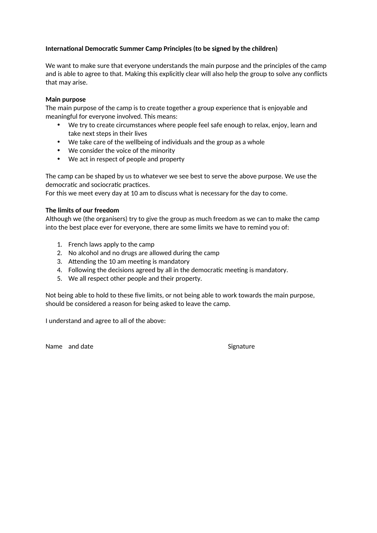## **International Democratic Summer Camp Principles (to be signed by the children)**

We want to make sure that everyone understands the main purpose and the principles of the camp and is able to agree to that. Making this explicitly clear will also help the group to solve any conflicts that may arise.

#### **Main purpose**

The main purpose of the camp is to create together a group experience that is enjoyable and meaningful for everyone involved. This means:

- We try to create circumstances where people feel safe enough to relax, enjoy, learn and take next steps in their lives
- We take care of the wellbeing of individuals and the group as a whole
- We consider the voice of the minority
- We act in respect of people and property

The camp can be shaped by us to whatever we see best to serve the above purpose. We use the democratic and sociocratic practices.

For this we meet every day at 10 am to discuss what is necessary for the day to come.

### **The limits of our freedom**

Although we (the organisers) try to give the group as much freedom as we can to make the camp into the best place ever for everyone, there are some limits we have to remind you of:

- 1. French laws apply to the camp
- 2. No alcohol and no drugs are allowed during the camp
- 3. Attending the 10 am meeting is mandatory
- 4. Following the decisions agreed by all in the democratic meeting is mandatory.
- 5. We all respect other people and their property.

Not being able to hold to these five limits, or not being able to work towards the main purpose, should be considered a reason for being asked to leave the camp.

I understand and agree to all of the above:

Name and date Signature Signature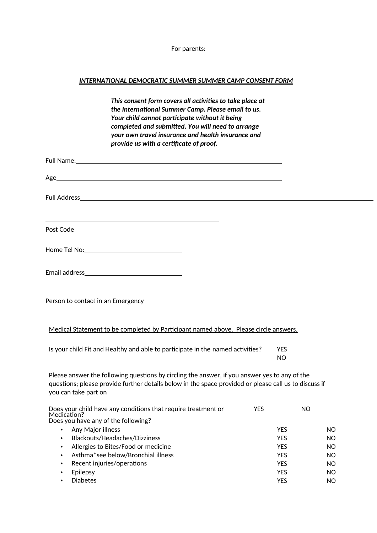For parents:

# *INTERNATIONAL DEMOCRATIC SUMMER SUMMER CAMP CONSENT FORM*

|                              | This consent form covers all activities to take place at<br>the International Summer Camp. Please email to us.<br>Your child cannot participate without it being<br>completed and submitted. You will need to arrange<br>your own travel insurance and health insurance and<br>provide us with a certificate of proof. |            |                          |           |
|------------------------------|------------------------------------------------------------------------------------------------------------------------------------------------------------------------------------------------------------------------------------------------------------------------------------------------------------------------|------------|--------------------------|-----------|
|                              |                                                                                                                                                                                                                                                                                                                        |            |                          |           |
|                              |                                                                                                                                                                                                                                                                                                                        |            |                          |           |
|                              |                                                                                                                                                                                                                                                                                                                        |            |                          |           |
|                              | <u> 1989 - Johann Stoff, deutscher Stoff, der Stoff, der Stoff, der Stoff, der Stoff, der Stoff, der Stoff, der S</u>                                                                                                                                                                                                  |            |                          |           |
|                              |                                                                                                                                                                                                                                                                                                                        |            |                          |           |
|                              |                                                                                                                                                                                                                                                                                                                        |            |                          |           |
|                              | Person to contact in an Emergency entitled and the control of the Person to contact in an Emergency                                                                                                                                                                                                                    |            |                          |           |
|                              | Medical Statement to be completed by Participant named above. Please circle answers.                                                                                                                                                                                                                                   |            |                          |           |
|                              | Is your child Fit and Healthy and able to participate in the named activities?                                                                                                                                                                                                                                         |            | <b>YES</b><br><b>NO</b>  |           |
| you can take part on         | Please answer the following questions by circling the answer, if you answer yes to any of the<br>questions; please provide further details below in the space provided or please call us to discuss if                                                                                                                 |            |                          |           |
| Medication?                  | Does your child have any conditions that require treatment or                                                                                                                                                                                                                                                          | <b>YES</b> |                          | NO.       |
|                              | Does you have any of the following?                                                                                                                                                                                                                                                                                    |            |                          |           |
| $\bullet$                    | Any Major illness<br>Blackouts/Headaches/Dizziness                                                                                                                                                                                                                                                                     |            | <b>YES</b><br><b>YES</b> | NO.<br>NO |
| $\bullet$                    | Allergies to Bites/Food or medicine                                                                                                                                                                                                                                                                                    |            | <b>YES</b>               | NO.       |
| $\bullet$                    | Asthma*see below/Bronchial illness                                                                                                                                                                                                                                                                                     |            | <b>YES</b>               | NO.       |
| $\bullet$                    | Recent injuries/operations                                                                                                                                                                                                                                                                                             |            | YES                      | <b>NO</b> |
| Epilepsy<br>٠                |                                                                                                                                                                                                                                                                                                                        |            | <b>YES</b>               | <b>NO</b> |
| <b>Diabetes</b><br>$\bullet$ |                                                                                                                                                                                                                                                                                                                        |            | <b>YES</b>               | <b>NO</b> |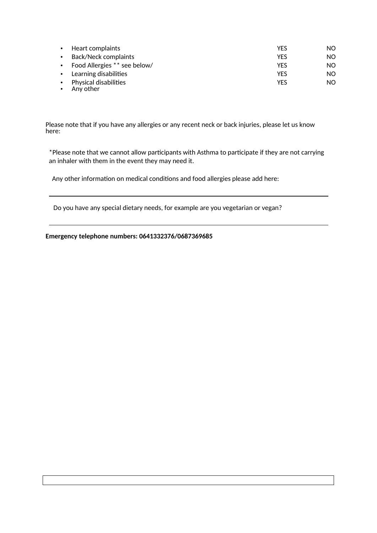| $\bullet$ | Heart complaints                          | YFS        | NO. |
|-----------|-------------------------------------------|------------|-----|
| $\bullet$ | Back/Neck complaints                      | <b>YFS</b> | NO. |
|           | • Food Allergies ** see below/            | <b>YFS</b> | NO. |
|           | • Learning disabilities                   | <b>YFS</b> | NO. |
| $\bullet$ | <b>Physical disabilities</b><br>Any other | <b>YFS</b> | NO. |

Please note that if you have any allergies or any recent neck or back injuries, please let us know here:

\*Please note that we cannot allow participants with Asthma to participate if they are not carrying an inhaler with them in the event they may need it.

Any other information on medical conditions and food allergies please add here:

Do you have any special dietary needs, for example are you vegetarian or vegan?

**Emergency telephone numbers: 0641332376/0687369685**

 $\overline{a}$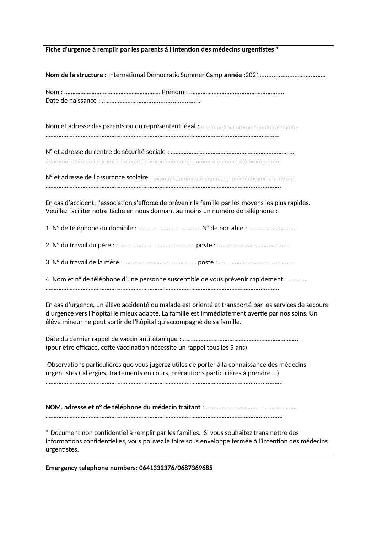| Fiche d'urgence à remplir par les parents à l'intention des médecins urgentistes *                                                                                                                                                                                                |  |  |  |  |  |
|-----------------------------------------------------------------------------------------------------------------------------------------------------------------------------------------------------------------------------------------------------------------------------------|--|--|--|--|--|
|                                                                                                                                                                                                                                                                                   |  |  |  |  |  |
|                                                                                                                                                                                                                                                                                   |  |  |  |  |  |
|                                                                                                                                                                                                                                                                                   |  |  |  |  |  |
|                                                                                                                                                                                                                                                                                   |  |  |  |  |  |
|                                                                                                                                                                                                                                                                                   |  |  |  |  |  |
|                                                                                                                                                                                                                                                                                   |  |  |  |  |  |
|                                                                                                                                                                                                                                                                                   |  |  |  |  |  |
|                                                                                                                                                                                                                                                                                   |  |  |  |  |  |
| En cas d'accident, l'association s'efforce de prévenir la famille par les moyens les plus rapides.<br>Veuillez faciliter notre tâche en nous donnant au moins un numéro de téléphone :                                                                                            |  |  |  |  |  |
|                                                                                                                                                                                                                                                                                   |  |  |  |  |  |
|                                                                                                                                                                                                                                                                                   |  |  |  |  |  |
|                                                                                                                                                                                                                                                                                   |  |  |  |  |  |
| 4. Nom et n° de téléphone d'une personne susceptible de vous prévenir rapidement :                                                                                                                                                                                                |  |  |  |  |  |
|                                                                                                                                                                                                                                                                                   |  |  |  |  |  |
| En cas d'urgence, un élève accidenté ou malade est orienté et transporté par les services de secours<br>d'urgence vers l'hôpital le mieux adapté. La famille est immédiatement avertie par nos soins. Un<br>élève mineur ne peut sortir de l'hôpital qu'accompagné de sa famille. |  |  |  |  |  |
|                                                                                                                                                                                                                                                                                   |  |  |  |  |  |
| (pour être efficace, cette vaccination nécessite un rappel tous les 5 ans)                                                                                                                                                                                                        |  |  |  |  |  |
|                                                                                                                                                                                                                                                                                   |  |  |  |  |  |
| Observations particulières que vous jugerez utiles de porter à la connaissance des médecins<br>urgentistes (allergies, traitements en cours, précautions particulières à prendre )                                                                                                |  |  |  |  |  |
|                                                                                                                                                                                                                                                                                   |  |  |  |  |  |
|                                                                                                                                                                                                                                                                                   |  |  |  |  |  |
|                                                                                                                                                                                                                                                                                   |  |  |  |  |  |
| * Document non confidentiel à remplir par les familles. Si vous souhaitez transmettre des<br>informations confidentielles, vous pouvez le faire sous enveloppe fermée à l'intention des médecins<br>urgentistes.                                                                  |  |  |  |  |  |
|                                                                                                                                                                                                                                                                                   |  |  |  |  |  |

**Emergency telephone numbers: 0641332376/0687369685**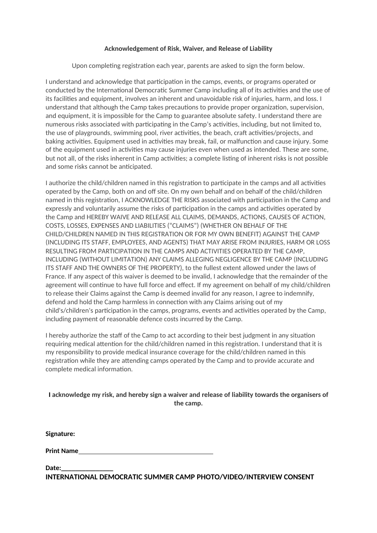### **Acknowledgement of Risk, Waiver, and Release of Liability**

Upon completing registration each year, parents are asked to sign the form below.

I understand and acknowledge that participation in the camps, events, or programs operated or conducted by the International Democratic Summer Camp including all of its activities and the use of its facilities and equipment, involves an inherent and unavoidable risk of injuries, harm, and loss. I understand that although the Camp takes precautions to provide proper organization, supervision, and equipment, it is impossible for the Camp to guarantee absolute safety. I understand there are numerous risks associated with participating in the Camp's activities, including, but not limited to, the use of playgrounds, swimming pool, river activities, the beach, craft activities/projects, and baking activities. Equipment used in activities may break, fail, or malfunction and cause injury. Some of the equipment used in activities may cause injuries even when used as intended. These are some, but not all, of the risks inherent in Camp activities; a complete listing of inherent risks is not possible and some risks cannot be anticipated.

I authorize the child/children named in this registration to participate in the camps and all activities operated by the Camp, both on and off site. On my own behalf and on behalf of the child/children named in this registration, I ACKNOWLEDGE THE RISKS associated with participation in the Camp and expressly and voluntarily assume the risks of participation in the camps and activities operated by the Camp and HEREBY WAIVE AND RELEASE ALL CLAIMS, DEMANDS, ACTIONS, CAUSES OF ACTION, COSTS, LOSSES, EXPENSES AND LIABILITIES ("CLAIMS") (WHETHER ON BEHALF OF THE CHILD/CHILDREN NAMED IN THIS REGISTRATION OR FOR MY OWN BENEFIT) AGAINST THE CAMP (INCLUDING ITS STAFF, EMPLOYEES, AND AGENTS) THAT MAY ARISE FROM INJURIES, HARM OR LOSS RESULTING FROM PARTICIPATION IN THE CAMPS AND ACTIVITIES OPERATED BY THE CAMP, INCLUDING (WITHOUT LIMITATION) ANY CLAIMS ALLEGING NEGLIGENCE BY THE CAMP (INCLUDING ITS STAFF AND THE OWNERS OF THE PROPERTY), to the fullest extent allowed under the laws of France. If any aspect of this waiver is deemed to be invalid, I acknowledge that the remainder of the agreement will continue to have full force and effect. If my agreement on behalf of my child/children to release their Claims against the Camp is deemed invalid for any reason, I agree to indemnify, defend and hold the Camp harmless in connection with any Claims arising out of my child's/children's participation in the camps, programs, events and activities operated by the Camp, including payment of reasonable defence costs incurred by the Camp.

I hereby authorize the staff of the Camp to act according to their best judgment in any situation requiring medical attention for the child/children named in this registration. I understand that it is my responsibility to provide medical insurance coverage for the child/children named in this registration while they are attending camps operated by the Camp and to provide accurate and complete medical information.

## **I acknowledge my risk, and hereby sign a waiver and release of liability towards the organisers of the camp.**

**Signature:**

**Print Name** 

Date:

**INTERNATIONAL DEMOCRATIC SUMMER CAMP PHOTO/VIDEO/INTERVIEW CONSENT**